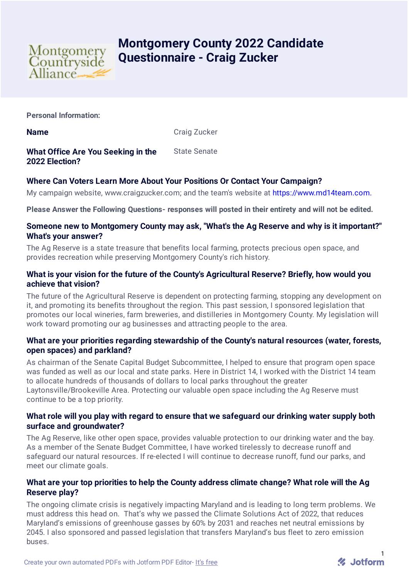

# **Montgomery County 2022 Candidate Questionnaire - Craig Zucker**

**Personal Information:**

**Name** Craig Zucker

**What Office Are You Seeking in the 2022 Election?** State Senate

## **Where Can Voters Learn More About Your Positions Or Contact Your Campaign?**

My campaign website, www.craigzucker.com; and the team's website at [https://www.md14team.com.](https://www.md14team.com./)

**Please Answer the Following Questions- responses will posted in their entirety and will not be edited.**

### **Someone new to Montgomery County may ask, "What's the Ag Reserve and why is it important?" What's your answer?**

The Ag Reserve is a state treasure that benefits local farming, protects precious open space, and provides recreation while preserving Montgomery County's rich history.

## **What is your vision for the future of the County's Agricultural Reserve? Briefly, how would you achieve that vision?**

The future of the Agricultural Reserve is dependent on protecting farming, stopping any development on it, and promoting its benefits throughout the region. This past session, I sponsored legislation that promotes our local wineries, farm breweries, and distilleries in Montgomery County. My legislation will work toward promoting our ag businesses and attracting people to the area.

## **What are your priorities regarding stewardship of the County's natural resources (water, forests, open spaces) and parkland?**

As chairman of the Senate Capital Budget Subcommittee, I helped to ensure that program open space was funded as well as our local and state parks. Here in District 14, I worked with the District 14 team to allocate hundreds of thousands of dollars to local parks throughout the greater Laytonsville/Brookeville Area. Protecting our valuable open space including the Ag Reserve must continue to be a top priority.

## **What role will you play with regard to ensure that we safeguard our drinking water supply both surface and groundwater?**

The Ag Reserve, like other open space, provides valuable protection to our drinking water and the bay. As a member of the Senate Budget Committee, I have worked tirelessly to decrease runoff and safeguard our natural resources. If re-elected I will continue to decrease runoff, fund our parks, and meet our climate goals.

## **What are your top priorities to help the County address climate change? What role will the Ag Reserve play?**

The ongoing climate crisis is negatively impacting Maryland and is leading to long term problems. We must address this head on. That's why we passed the Climate Solutions Act of 2022, that reduces Maryland's emissions of greenhouse gasses by 60% by 2031 and reaches net neutral emissions by 2045. I also sponsored and passed legislation that transfers Maryland's bus fleet to zero emission buses.